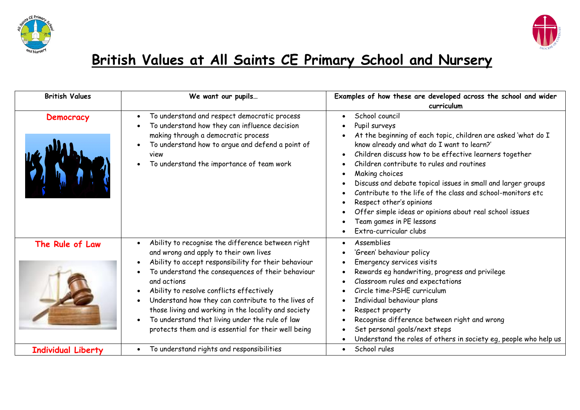



## **British Values at All Saints CE Primary School and Nursery**

| <b>British Values</b>     | We want our pupils                                                                                                                                                                                                                                                                                                                                                                                                                                                                          | Examples of how these are developed across the school and wider<br>curriculum                                                                                                                                                                                                                                                                                                                                                                                                                                                                                                 |
|---------------------------|---------------------------------------------------------------------------------------------------------------------------------------------------------------------------------------------------------------------------------------------------------------------------------------------------------------------------------------------------------------------------------------------------------------------------------------------------------------------------------------------|-------------------------------------------------------------------------------------------------------------------------------------------------------------------------------------------------------------------------------------------------------------------------------------------------------------------------------------------------------------------------------------------------------------------------------------------------------------------------------------------------------------------------------------------------------------------------------|
| Democracy                 | To understand and respect democratic process<br>To understand how they can influence decision<br>making through a democratic process<br>To understand how to argue and defend a point of<br>view<br>To understand the importance of team work                                                                                                                                                                                                                                               | School council<br>$\bullet$<br>Pupil surveys<br>At the beginning of each topic, children are asked 'what do I<br>know already and what do I want to learn?'<br>Children discuss how to be effective learners together<br>$\bullet$<br>Children contribute to rules and routines<br>Making choices<br>Discuss and debate topical issues in small and larger groups<br>Contribute to the life of the class and school-monitors etc<br>Respect other's opinions<br>Offer simple ideas or opinions about real school issues<br>Team games in PE lessons<br>Extra-curricular clubs |
| The Rule of Law           | Ability to recognise the difference between right<br>and wrong and apply to their own lives<br>Ability to accept responsibility for their behaviour<br>To understand the consequences of their behaviour<br>and actions<br>Ability to resolve conflicts effectively<br>Understand how they can contribute to the lives of<br>those living and working in the locality and society<br>To understand that living under the rule of law<br>protects them and is essential for their well being | Assemblies<br>'Green' behaviour policy<br>Emergency services visits<br>Rewards eg handwriting, progress and privilege<br>Classroom rules and expectations<br>Circle time-PSHE curriculum<br>Individual behaviour plans<br>Respect property<br>Recognise difference between right and wrong<br>Set personal goals/next steps<br>Understand the roles of others in society eg, people who help us                                                                                                                                                                               |
| <b>Individual Liberty</b> | To understand rights and responsibilities<br>$\bullet$                                                                                                                                                                                                                                                                                                                                                                                                                                      | School rules<br>$\bullet$                                                                                                                                                                                                                                                                                                                                                                                                                                                                                                                                                     |